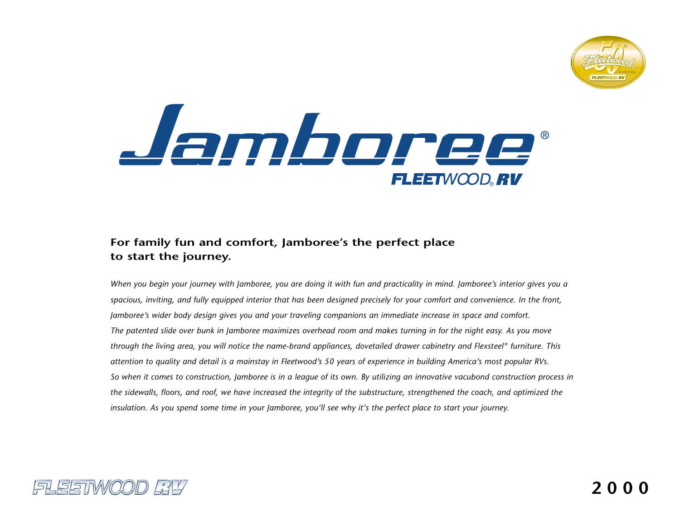



# **For family fun and comfort, Jamboree's the perfect place to start the journey.**

*When you begin your journey with Jamboree, you are doing it with fun and practicality in mind. Jamboree's interior gives you a spacious, inviting, and fully equipped interior that has been designed precisely for your comfort and convenience. In the front, Jamboree's wider body design gives you and your traveling companions an immediate increase in space and comfort. The patented slide over bunk in Jamboree maximizes overhead room and makes turning in for the night easy. As you move through the living area, you will notice the name-brand appliances, dovetailed drawer cabinetry and Flexsteel* ® *furniture. This attention to quality and detail is a mainstay in Fleetwood's 50 years of experience in building America's most popular RVs. So when it comes to construction, Jamboree is in a league of its own. By utilizing an innovative vacubond construction process in the sidewalls, floors, and roof, we have increased the integrity of the substructure, strengthened the coach, and optimized the insulation. As you spend some time in your Jamboree, you'll see why it's the perfect place to start your journey.*



**2000**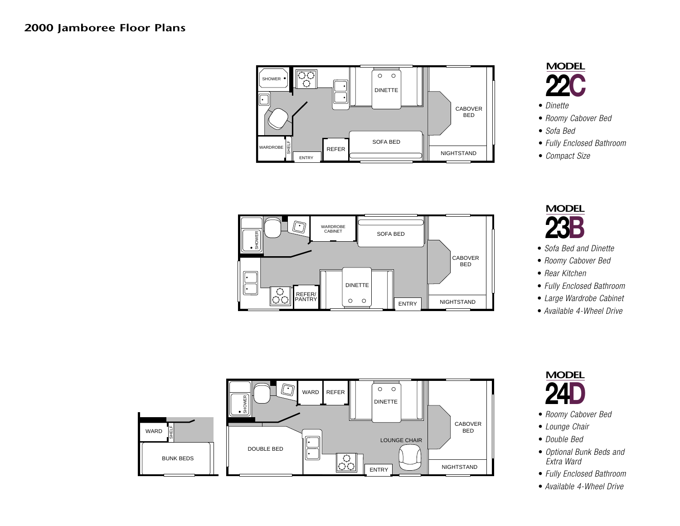# **2000 Jamboree Floor Plans**





- *Dinette*
- *Roomy Cabover Bed*
- *Sofa Bed*
- *Fully Enclosed Bathroom*
- *Compact Size*



- *Sofa Bed and Dinette*
- *Roomy Cabover Bed*
- *Rear Kitchen*
- *Fully Enclosed Bathroom*
- *Large Wardrobe Cabinet*
- *Available 4-Wheel Drive*



- *Roomy Cabover Bed*
- *Lounge Chair*
- *Double Bed*
- *Optional Bunk Beds and Extra Ward*
- *Fully Enclosed Bathroom*
- *Available 4-Wheel Drive*



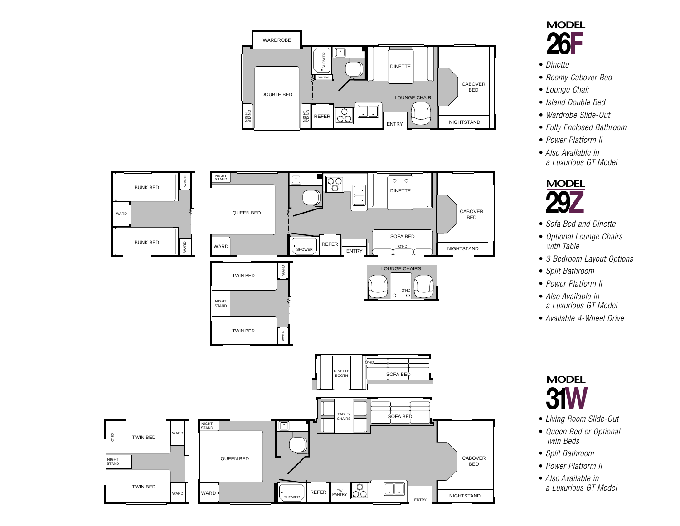





- *Dinette*
- *Roomy Cabover Bed*
- *Lounge Chair*
- *Island Double Bed*
- *Wardrobe Slide-Out*
- *Fully Enclosed Bathroom*
- *Power Platform II*
- *Also Available in a Luxurious GT Model*



- *Sofa Bed and Dinette*
- *Optional Lounge Chairs with Table*
- *3 Bedroom Layout Options*
- *Split Bathroom*
- *Power Platform II*
- *Also Available in a Luxurious GT Model*
- *Available 4-Wheel Drive*



- *Living Room Slide-Out*
- *Queen Bed or Optional Twin Beds*
- *Split Bathroom*
- *Power Platform II*
- *Also Available in a Luxurious GT Model*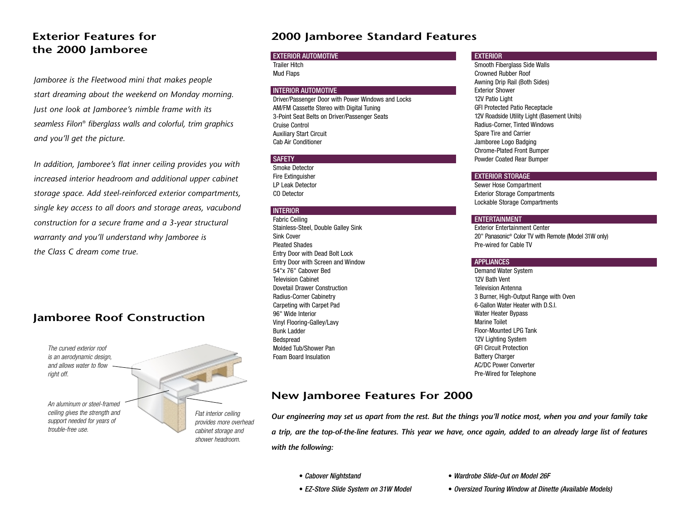## **Exterior Features forthe 2000 Jamboree**

*Jamboree is the Fleetwood mini that makes people start dreaming about the weekend on Monday morning. Just one look at Jamboree's nimble frame with its seamless Filon*® *fiberglass walls and colorful, trim graphics and you'll get the picture.*

*In addition, Jamboree's flat inner ceiling provides you with increased interior headroom and additional upper cabinet storage space. Add steel-reinforced exterior compartments, single key access to all doors and storage areas, vacubond construction for a secure frame and a 3-year structural warranty and you'll understand why Jamboree is the Class C dream come true.*

### **Jamboree Roof Construction**

*The curved exterior roof is an aerodynamic design, and allows water to flowright off.*

*An aluminum or steel-framedceiling gives the strength and support needed for years of trouble-free use.*

*Flat interior ceiling provides more overhead cabinet storage and shower headroom.*

### **2000 Jamboree Standard Features**

#### EXTERIOR AUTOMOTIVE

Trailer HitchMud Flaps

#### INTERIOR AUTOMOTIVE

Driver/Passenger Door with Power Windows and Locks AM/FM Cassette Stereo with Digital Tuning 3-Point Seat Belts on Driver/Passenger Seats Cruise ControlAuxiliary Start Circuit Cab Air Conditioner

#### SAFETY

Smoke DetectorFire Extinguisher LP Leak DetectorCO Detector

#### **INTERIOR**

Fabric Ceiling Stainless-Steel, Double Galley Sink Sink CoverPleated ShadesEntry Door with Dead Bolt Lock Entry Door with Screen and Window 54"x 76" Cabover BedTelevision CabinetDovetail Drawer ConstructionRadius-Corner Cabinetry Carpeting with Carpet Pad 96" Wide InteriorVinyl Flooring-Galley/Lavy Bunk LadderBedspread Molded Tub/Shower PanFoam Board Insulation

#### **EXTERIOR**

Smooth Fiberglass Side Walls Crowned Rubber RoofAwning Drip Rail (Both Sides) Exterior Shower12V Patio Light GFI Protected Patio Receptacle 12V Roadside Utility Light (Basement Units) Radius-Corner, Tinted Windows Spare Tire and Carrier Jamboree Logo Badging Chrome-Plated Front Bumper Powder Coated Rear Bumper

#### EXTERIOR STORAGE

Sewer Hose Compartment Exterior Storage Compartments Lockable Storage Compartments

#### **ENTERTAINMENT**

Exterior Entertainment Center20" Panasonic® Color TV with Remote (Model 31W only) Pre-wired for Cable TV

#### **APPLIANCES**

Demand Water System 12V Bath VentTelevision Antenna3 Burner, High-Output Range with Oven 6-Gallon Water Heater with D.S.I. Water Heater Bypass Marine ToiletFloor-Mounted LPG Tank12V Lighting System GFI Circuit ProtectionBattery Charger AC/DC Power ConverterPre-Wired for Telephone

### **New Jamboree Features For 2000**

*Our engineering may set us apart from the rest. But the things you'll notice most, when you and your family take a trip, are the top-of-the-line features. This year we have, once again, added to an already large list of features with the following:*

- *Cabover Nightstand*
- - *Oversized Touring Window at Dinette (Available Models)*

• *Wardrobe Slide-Out on Model 26F* 

• *EZ-Store Slide System on 31W Model*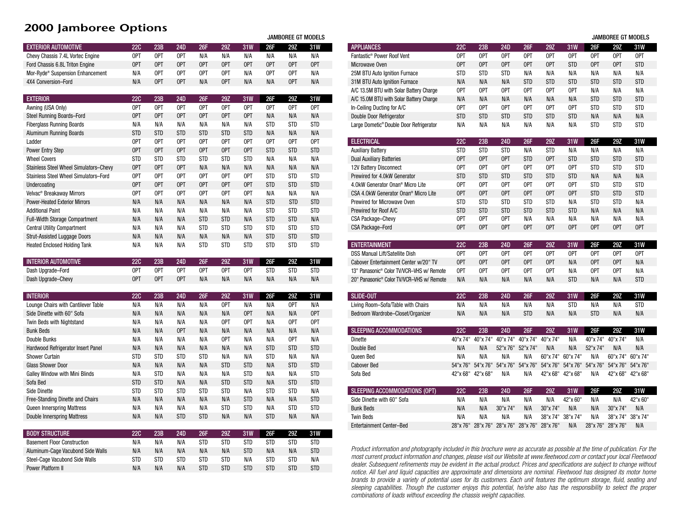### **2000 Jamboree Options**

|                                        |            |            |            |            |            |            | JAMBOREE GT MODELS |            |            |  |
|----------------------------------------|------------|------------|------------|------------|------------|------------|--------------------|------------|------------|--|
| <b>EXTERIOR AUTOMOTIVE</b>             | <b>22C</b> | 23B        | 24D        | 26F        | 29Z        | 31W        | 26F                | 29Z        | 31W        |  |
| Chevy Chassis 7.4L Vortec Engine       | OPT        | OPT        | 0PT        | N/A        | N/A        | N/A        | N/A                | N/A        | N/A        |  |
| Ford Chassis 6.8L Triton Engine        | OPT        | OPT        | 0PT        | OPT        | OPT        | OPT        | OPT                | OPT        | OPT        |  |
| Mor-Ryde® Suspension Enhancement       | N/A        | OPT        | OPT        | OPT        | OPT        | N/A        | OPT                | OPT        | N/A        |  |
| 4X4 Conversion-Ford                    | N/A        | OPT        | 0PT        | N/A        | OPT        | N/A        | N/A                | OPT        | N/A        |  |
|                                        |            |            |            |            |            |            |                    |            |            |  |
| <b>EXTERIOR</b>                        | <b>22C</b> | 23B        | 24D        | 26F        | 29Z        | 31W        | 26F                | <b>297</b> | 31W        |  |
| Awning (USA Only)                      | OPT        | OPT        | 0PT        | OPT        | OPT        | OPT        | OPT                | OPT        | OPT        |  |
| Steel Running Boards-Ford              | OPT        | OPT        | OPT        | OPT        | OPT        | OPT        | N/A                | N/A        | N/A        |  |
| <b>Fiberglass Running Boards</b>       | N/A        | N/A        | N/A        | N/A        | N/A        | N/A        | <b>STD</b>         | <b>STD</b> | <b>STD</b> |  |
| <b>Aluminum Running Boards</b>         | <b>STD</b> | <b>STD</b> | <b>STD</b> | <b>STD</b> | <b>STD</b> | <b>STD</b> | N/A                | N/A        | N/A        |  |
| Ladder                                 | OPT        | OPT        | 0PT        | OPT        | OPT        | 0PT        | OPT                | OPT        | OPT        |  |
| Power Entry Step                       | OPT        | OPT        | 0PT        | OPT        | OPT        | OPT        | <b>STD</b>         | <b>STD</b> | <b>STD</b> |  |
| <b>Wheel Covers</b>                    | STD        | <b>STD</b> | <b>STD</b> | <b>STD</b> | <b>STD</b> | <b>STD</b> | N/A                | N/A        | N/A        |  |
| Stainless Steel Wheel Simulators-Chevy | OPT        | OPT        | 0PT        | N/A        | N/A        | N/A        | N/A                | N/A        | N/A        |  |
| Stainless Steel Wheel Simulators-Ford  | OPT        | OPT        | 0PT        | OPT        | OPT        | OPT        | <b>STD</b>         | <b>STD</b> | <b>STD</b> |  |
| Undercoating                           | OPT        | OPT        | 0PT        | OPT        | OPT        | OPT        | <b>STD</b>         | <b>STD</b> | <b>STD</b> |  |
| Velvac <sup>®</sup> Breakaway Mirrors  | OPT        | OPT        | 0PT        | OPT        | OPT        | OPT        | N/A                | N/A        | N/A        |  |
| <b>Power-Heated Exterior Mirrors</b>   | N/A        | N/A        | N/A        | N/A        | N/A        | N/A        | <b>STD</b>         | <b>STD</b> | <b>STD</b> |  |
| <b>Additional Paint</b>                | N/A        | N/A        | N/A        | N/A        | N/A        | N/A        | <b>STD</b>         | <b>STD</b> | <b>STD</b> |  |
| <b>Full-Width Storage Compartment</b>  | N/A        | N/A        | N/A        | <b>STD</b> | <b>STD</b> | N/A        | <b>STD</b>         | <b>STD</b> | N/A        |  |
| <b>Central Utility Compartment</b>     | N/A        | N/A        | N/A        | STD        | <b>STD</b> | <b>STD</b> | <b>STD</b>         | <b>STD</b> | <b>STD</b> |  |
| <b>Strut-Assisted Luggage Doors</b>    | N/A        | N/A        | N/A        | N/A        | N/A        | N/A        | <b>STD</b>         | <b>STD</b> | <b>STD</b> |  |
| <b>Heated Enclosed Holding Tank</b>    | N/A        | N/A        | N/A        | STD        | <b>STD</b> | <b>STD</b> | <b>STD</b>         | <b>STD</b> | <b>STD</b> |  |
|                                        |            |            |            |            |            |            |                    |            |            |  |
|                                        |            |            |            |            |            |            |                    |            |            |  |
| <b>INTERIOR AUTOMOTIVE</b>             | <b>22C</b> | 23B        | <b>24D</b> | 26F        | 29Z        | 31W        | 26F                | 29Z        | 31W        |  |
| Dash Upgrade-Ford                      | OPT        | 0PT        | 0PT        | OPT        | OPT        | OPT        | <b>STD</b>         | <b>STD</b> | <b>STD</b> |  |
| Dash Upgrade-Chevy                     | OPT        | OPT        | OPT        | N/A        | N/A        | N/A        | N/A                | N/A        | N/A        |  |
|                                        |            |            |            |            |            |            |                    |            |            |  |
| <b>INTERIOR</b>                        | <b>22C</b> | 23B        | <b>24D</b> | 26F        | 29Z        | 31W        | 26F                | 29Z        | 31W        |  |
| Lounge Chairs with Cantilever Table    | N/A        | N/A        | N/A        | N/A        | OPT        | N/A        | N/A                | OPT        | N/A        |  |
| Side Dinette with 60" Sofa             | N/A        | N/A        | N/A        | N/A        | N/A        | OPT        | N/A                | N/A        | OPT        |  |
| Twin Beds with Nightstand              | N/A        | N/A        | N/A        | N/A        | OPT        | OPT        | N/A                | OPT        | OPT        |  |
| <b>Bunk Beds</b>                       | N/A        | N/A        | 0PT        | N/A        | N/A        | N/A        | N/A                | N/A        | N/A        |  |
| Double Bunks                           | N/A        | N/A        | N/A        | N/A        | OPT        | N/A        | N/A                | OPT        | N/A        |  |
| Hardwood Refrigerator Insert Panel     | N/A        | N/A        | N/A        | N/A        | N/A        | N/A        | <b>STD</b>         | <b>STD</b> | <b>STD</b> |  |
| <b>Shower Curtain</b>                  | <b>STD</b> | <b>STD</b> | <b>STD</b> | <b>STD</b> | N/A        | N/A        | <b>STD</b>         | N/A        | N/A        |  |
| <b>Glass Shower Door</b>               | N/A        | N/A        | N/A        | N/A        | <b>STD</b> | <b>STD</b> | N/A                | <b>STD</b> | <b>STD</b> |  |
| Galley Window with Mini Blinds         | N/A        | STD        | N/A        | N/A        | N/A        | <b>STD</b> | N/A                | N/A        | <b>STD</b> |  |
| Sofa Bed                               | <b>STD</b> | <b>STD</b> | N/A        | N/A        | <b>STD</b> | <b>STD</b> | N/A                | <b>STD</b> | <b>STD</b> |  |
| Side Dinette                           | STD        | <b>STD</b> | <b>STD</b> | STD        | <b>STD</b> | N/A        | <b>STD</b>         | <b>STD</b> | N/A        |  |
| Free-Standing Dinette and Chairs       | N/A        | N/A        | N/A        | N/A        | N/A        | <b>STD</b> | N/A                | N/A        | <b>STD</b> |  |
| <b>Queen Innerspring Mattress</b>      | N/A        | N/A        | N/A        | N/A        | <b>STD</b> | <b>STD</b> | N/A                | <b>STD</b> | <b>STD</b> |  |
| <b>Double Innerspring Mattress</b>     | N/A        | N/A        | <b>STD</b> | <b>STD</b> | N/A        | N/A        | <b>STD</b>         | N/A        | N/A        |  |
|                                        |            |            |            |            |            |            |                    |            |            |  |
| <b>BODY STRUCTURE</b>                  | <b>22C</b> | 23B        | 24D        | 26F        | 29Z        | 31W        | 26F                | 29Z        | 31W        |  |
| <b>Basement Floor Construction</b>     | N/A        | N/A        | N/A        | STD        | STD        | <b>STD</b> | <b>STD</b>         | STD        | <b>STD</b> |  |
| Aluminum-Cage Vacubond Side Walls      | N/A        | N/A        | N/A        | N/A        | N/A        | <b>STD</b> | N/A                | N/A        | <b>STD</b> |  |
| Steel-Cage Vacubond Side Walls         | STD        | <b>STD</b> | <b>STD</b> | STD        | <b>STD</b> | N/A        | <b>STD</b>         | <b>STD</b> | N/A        |  |

|                                                  |            |                                              |                 |                   |            |                            |            | <b>JAMBOREE GT MODELS</b> |                          |  |
|--------------------------------------------------|------------|----------------------------------------------|-----------------|-------------------|------------|----------------------------|------------|---------------------------|--------------------------|--|
| <b>APPLIANCES</b>                                | <b>22C</b> | 23B                                          | <b>24D</b>      | 26F               | 29Z        | 31W                        | 26F        | 29Z                       | 31W                      |  |
| Fantastic <sup>®</sup> Power Roof Vent           | OPT        | OPT                                          | OPT             | OPT               | OPT        | 0PT                        | OPT        | OPT                       | 0PT                      |  |
| Microwave Oven                                   | <b>OPT</b> | OPT                                          | 0PT             | OPT               | OPT        | <b>STD</b>                 | OPT        | OPT                       | <b>STD</b>               |  |
| 25M BTU Auto Ignition Furnace                    | <b>STD</b> | <b>STD</b>                                   | <b>STD</b>      | N/A               | N/A        | N/A                        | N/A        | N/A                       | N/A                      |  |
| 31M BTU Auto Ignition Furnace                    | N/A        | N/A                                          | N/A             | <b>STD</b>        | <b>STD</b> | <b>STD</b>                 | <b>STD</b> | <b>STD</b>                | <b>STD</b>               |  |
| A/C 13.5M BTU with Solar Battery Charge          | OPT        | OPT                                          | 0PT             | 0PT               | OPT        | 0PT                        | N/A        | N/A                       | N/A                      |  |
| A/C 15.0M BTU with Solar Battery Charge          | N/A        | N/A                                          | N/A             | N/A               | N/A        | N/A                        | <b>STD</b> | <b>STD</b>                | <b>STD</b>               |  |
| In-Ceiling Ducting for A/C                       | OPT        | OPT                                          | 0PT             | OPT               | OPT        | 0PT                        | <b>STD</b> | <b>STD</b>                | <b>STD</b>               |  |
| Double Door Refrigerator                         | <b>STD</b> | <b>STD</b>                                   | <b>STD</b>      | <b>STD</b>        | <b>STD</b> | <b>STD</b>                 | N/A        | N/A                       | N/A                      |  |
| Large Dometic® Double Door Refrigerator          | N/A        | N/A                                          | N/A             | N/A               | N/A        | N/A                        | <b>STD</b> | STD                       | <b>STD</b>               |  |
| <b>ELECTRICAL</b>                                | <b>22C</b> | 23B                                          | <b>24D</b>      | 26F               | 29Z        | <b>31W</b>                 | 26F        | 29Z                       | 31W                      |  |
| <b>Auxiliary Battery</b>                         | <b>STD</b> | <b>STD</b>                                   | <b>STD</b>      | N/A               | <b>STD</b> | N/A                        | N/A        | N/A                       | N/A                      |  |
| <b>Dual Auxiliary Batteries</b>                  | OPT        | OPT                                          | 0PT             | <b>STD</b>        | OPT        | <b>STD</b>                 | <b>STD</b> | <b>STD</b>                | <b>STD</b>               |  |
| 12V Battery Disconnect                           | OPT        | OPT                                          | 0PT             | OPT               | OPT        | 0PT                        | <b>STD</b> | <b>STD</b>                | <b>STD</b>               |  |
| Prewired for 4.0kW Generator                     | <b>STD</b> | <b>STD</b>                                   | <b>STD</b>      | <b>STD</b>        | <b>STD</b> | <b>STD</b>                 | N/A        | N/A                       | N/A                      |  |
| 4.0kW Generator Onan <sup>®</sup> Micro Lite     | OPT        | OPT                                          | OPT             | OPT               | OPT        | 0PT                        | <b>STD</b> | <b>STD</b>                | <b>STD</b>               |  |
| CSA 4.0kW Generator Onan <sup>®</sup> Micro Lite | OPT        | OPT                                          | OPT             | OPT               | OPT        | OPT                        | <b>STD</b> | <b>STD</b>                | <b>STD</b>               |  |
| Prewired for Microwave Oven                      | <b>STD</b> | <b>STD</b>                                   | <b>STD</b>      | <b>STD</b>        | <b>STD</b> | N/A                        | <b>STD</b> | <b>STD</b>                | N/A                      |  |
| Prewired for Roof A/C                            | <b>STD</b> | <b>STD</b>                                   | <b>STD</b>      | <b>STD</b>        | <b>STD</b> | <b>STD</b>                 | N/A        | N/A                       | N/A                      |  |
| CSA Package-Chevy                                | 0PT        | OPT                                          | 0PT             | N/A               | N/A        | N/A                        | N/A        | N/A                       | N/A                      |  |
| CSA Package-Ford                                 | OPT        | OPT                                          | 0PT             | OPT               | OPT        | OPT                        | OPT        | OPT                       | OPT                      |  |
| <b>ENTERTAINMENT</b>                             | <b>22C</b> | 23B                                          | <b>24D</b>      | 26F               | 29Z        | 31W                        | 26F        | 29Z                       | 31W                      |  |
| <b>DSS Manual Lift/Satellite Dish</b>            | 0PT        | OPT                                          | 0PT             | OPT               | OPT        | OPT                        | OPT        | OPT                       | OPT                      |  |
| Cabover Entertainment Center w/20" TV            | OPT        | OPT                                          | 0PT             | OPT               | OPT        | N/A                        | OPT        | OPT                       | N/A                      |  |
| 13" Panasonic® Color TV/VCR-VHS w/ Remote        | 0PT        | OPT                                          | 0PT             | OPT               | OPT        | N/A                        | OPT        | OPT                       | N/A                      |  |
| 20" Panasonic® Color TV/VCR-VHS w/ Remote        | N/A        | N/A                                          | N/A             | N/A               | N/A        | <b>STD</b>                 | N/A        | N/A                       | <b>STD</b>               |  |
| <b>SLIDE-OUT</b>                                 | <b>22C</b> | 23B                                          | <b>24D</b>      | 26F               | 29Z        | 31W                        | 26F        | 29Z                       | 31W                      |  |
| Living Room-Sofa/Table with Chairs               | N/A        | N/A                                          | N/A             | N/A               | N/A        | <b>STD</b>                 | N/A        | N/A                       | <b>STD</b>               |  |
| Bedroom Wardrobe-Closet/Organizer                | N/A        | N/A                                          | N/A             | <b>STD</b>        | N/A        | N/A                        | <b>STD</b> | N/A                       | N/A                      |  |
| <b>SLEEPING ACCOMMODATIONS</b>                   | 22C        | 23B                                          | <b>24D</b>      | <b>26F</b>        | 29Z        | 31W                        | 26F        | 29Z                       | 31W                      |  |
| <b>Dinette</b>                                   |            | 40"x 74" 40"x 74" 40"x 74" 40"x 74" 40"x 74" |                 |                   |            | N/A                        |            | 40"x 74" 40"x 74"         | N/A                      |  |
| Double Bed                                       | N/A        | N/A                                          |                 | 52"x 76" 52"x 74" | N/A        | N/A                        | 52"x 74"   | N/A                       | N/A                      |  |
| Queen Bed                                        | N/A        | N/A                                          | N/A             | N/A               |            | 60"x 74" 60"x 74"          | N/A        |                           | 60"x 74" 60"x 74"        |  |
| <b>Cabover Bed</b>                               |            | 54"x 76" 54"x 76"                            | 54"x 76"        | 54"x 76"          |            | 54"x 76" 54"x 76" 54"x 76" |            | 54"x 76"                  | 54"x 76"                 |  |
| Sofa Bed                                         |            | 42"x 68" 42"x 68"                            | N/A             | N/A               |            | 42"x 68" 42"x 68"          | N/A        |                           | 42"x 68" 42"x 68"        |  |
| <b>SLEEPING ACCOMMODATIONS (OPT)</b>             | <b>22C</b> | 23B                                          | <b>24D</b>      | <b>26F</b>        | 29Z        | 31W                        | 26F        | 29Z                       | 31W                      |  |
| Side Dinette with 60" Sofa                       | N/A        | N/A                                          | N/A             | N/A               | N/A        | 42"x 60"                   | N/A        | N/A                       |                          |  |
|                                                  |            |                                              |                 |                   |            |                            |            |                           | 42"x 60"                 |  |
| <b>Bunk Beds</b>                                 | N/A<br>N/A | N/A<br>N/A                                   | 30"x 74"<br>N/A | N/A<br>N/A        | 30"x 74"   | N/A<br>38"x 74" 38"x 74"   | N/A<br>N/A | 30"x 74"                  | N/A<br>38"x 74" 38"x 74" |  |
| <b>Twin Beds</b><br>Entertainment Center-Bed     |            | 28"x 76" 28"x 76" 28"x 76" 28"x 76" 28"x 76" |                 |                   |            | N/A                        |            | 28"x 76" 28"x 76"         | N/A                      |  |
|                                                  |            |                                              |                 |                   |            |                            |            |                           |                          |  |

*Product information and photography included in this brochure were as accurate as possible at the time of publication. For the most current product information and changes, please visit our Website at www.fleetwood.com or contact your local Fleetwood dealer. Subsequent refinements may be evident in the actual product. Prices and specifications are subject to change without notice. All fuel and liquid capacities are approximate and dimensions are nominal. Fleetwood has designed its motor home brands to provide a variety of potential uses for its customers. Each unit features the optimum storage, fluid, seating and sleeping capabilities. Though the customer enjoys this potential, he/she also has the responsibility to select the proper combinations of loads without exceeding the chassis weight capacities.*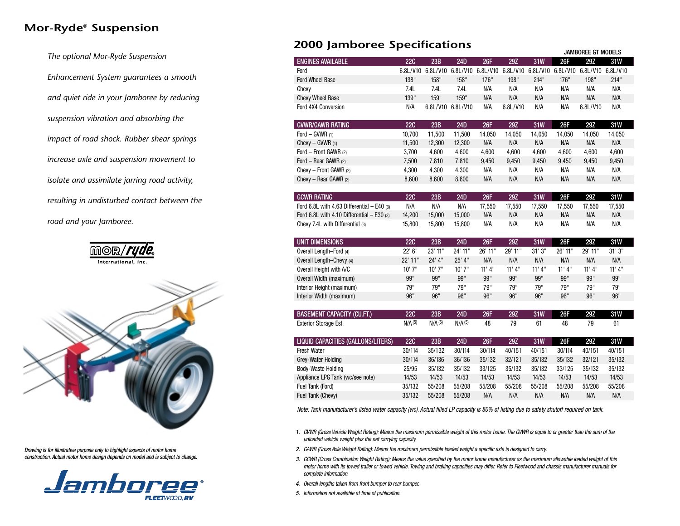## **Mor-Ryde® Suspension**

*The optional Mor-Ryde Suspension Enhancement System guarantees a smooth and quiet ride in your Jamboree by reducing suspension vibration and absorbing the impact of road shock. Rubber shear springs increase axle and suspension movement to isolate and assimilate jarring road activity, resulting in undisturbed contact between the road and your Jamboree.*





*Drawing is for illustrative purpose only to highlight aspects of motor home construction. Actual motor home design depends on model and is subject to change.*



### **2000 Jamboree Specifications**

|                                              |                    |                    |                    |            |            | JAMBOREE GT MODELS |         |                                                                                  |         |  |  |
|----------------------------------------------|--------------------|--------------------|--------------------|------------|------------|--------------------|---------|----------------------------------------------------------------------------------|---------|--|--|
| <b>ENGINES AVAILABLE</b>                     | <b>22C</b>         | 23B                | 24D                | <b>26F</b> | 29Z        | <b>31W</b>         | 26F     | 29Z                                                                              | 31W     |  |  |
| Ford                                         |                    |                    |                    |            |            |                    |         | 6.8L/V10 6.8L/V10 6.8L/V10 6.8L/V10 6.8L/V10 6.8L/V10 6.8L/V10 6.8L/V10 6.8L/V10 |         |  |  |
| <b>Ford Wheel Base</b>                       | 138"               | 158"               | 158"               | 176"       | 198"       | 214"               | 176"    | 198"                                                                             | 214"    |  |  |
| Chevy                                        | 7.4L               | 7.4L               | 7.4L               | N/A        | N/A        | N/A                | N/A     | N/A                                                                              | N/A     |  |  |
| <b>Chevy Wheel Base</b>                      | 139"               | 159"               | 159"               | N/A        | N/A        | N/A                | N/A     | N/A                                                                              | N/A     |  |  |
| Ford 4X4 Conversion                          | N/A                | 6.8L/V10 6.8L/V10  |                    | N/A        | 6.8L/V10   | N/A                | N/A     | 6.8L/V10                                                                         | N/A     |  |  |
| <b>GVWR/GAWR RATING</b>                      | <b>22C</b>         | 23B                | <b>24D</b>         | <b>26F</b> | 29Z        | <b>31W</b>         | 26F     | 29Z                                                                              | 31W     |  |  |
| Ford - GVWR (1)                              | 10,700             | 11,500             | 11,500             | 14,050     | 14,050     | 14,050             | 14,050  | 14,050                                                                           | 14,050  |  |  |
| Chevy $-$ GVWR $(1)$                         | 11,500             | 12,300             | 12,300             | N/A        | N/A        | N/A                | N/A     | N/A                                                                              | N/A     |  |  |
| Ford - Front GAWR (2)                        | 3,700              | 4,600              | 4,600              | 4,600      | 4,600      | 4,600              | 4,600   | 4,600                                                                            | 4,600   |  |  |
| Ford - Rear GAWR (2)                         | 7,500              | 7,810              | 7,810              | 9,450      | 9,450      | 9,450              | 9,450   | 9,450                                                                            | 9,450   |  |  |
| Chevy - Front GAWR (2)                       | 4,300              | 4,300              | 4,300              | N/A        | N/A        | N/A                | N/A     | N/A                                                                              | N/A     |  |  |
| Chevy - Rear GAWR (2)                        | 8,600              | 8,600              | 8,600              | N/A        | N/A        | N/A                | N/A     | N/A                                                                              | N/A     |  |  |
| <b>GCWR RATING</b>                           | <b>22C</b>         | 23B                | 24D                | <b>26F</b> | <b>29Z</b> | <b>31W</b>         | 26F     | <b>29Z</b>                                                                       | 31W     |  |  |
| Ford 6.8L with 4.63 Differential $-$ E40 (3) | N/A                | N/A                | N/A                | 17,550     | 17,550     | 17,550             | 17,550  | 17,550                                                                           | 17,550  |  |  |
| Ford 6.8L with 4.10 Differential $-$ E30 (3) | 14,200             | 15,000             | 15,000             | N/A        | N/A        | N/A                | N/A     | N/A                                                                              | N/A     |  |  |
| Chevy 7.4L with Differential (3)             | 15,800             | 15,800             | 15,800             | N/A        | N/A        | N/A                | N/A     | N/A                                                                              | N/A     |  |  |
| UNIT DIMENSIONS                              | <b>22C</b>         | 23B                | <b>24D</b>         | <b>26F</b> | 29Z        | <b>31W</b>         | 26F     | 29Z                                                                              | 31W     |  |  |
| Overall Length-Ford (4)                      | 22' 6"             | 23' 11"            | 24' 11"            | 26' 11"    | 29' 11"    | 31'3''             | 26' 11" | 29' 11"                                                                          | 31'3''  |  |  |
| Overall Length-Chevy (4)                     | 22' 11"            | 24' 4"             | 25' 4"             | N/A        | N/A        | N/A                | N/A     | N/A                                                                              | N/A     |  |  |
| Overall Height with A/C                      | 10' 7"             | 10' 7"             | 10'7''             | 11' 4''    | 11' 4''    | 11' 4''            | 11' 4'' | 11' 4''                                                                          | 11' 4'' |  |  |
| Overall Width (maximum)                      | 99"                | 99"                | 99"                | 99"        | 99"        | 99"                | 99"     | 99"                                                                              | 99"     |  |  |
| Interior Height (maximum)                    | 79"                | 79"                | 79"                | 79"        | 79"        | 79"                | 79"     | 79"                                                                              | 79"     |  |  |
| Interior Width (maximum)                     | 96"                | 96"                | 96"                | 96"        | 96"        | 96"                | 96"     | 96"                                                                              | 96"     |  |  |
| <b>BASEMENT CAPACITY (CU.FT.)</b>            | <b>22C</b>         | 23B                | <b>24D</b>         | <b>26F</b> | 29Z        | <b>31W</b>         | 26F     | 29Z                                                                              | 31W     |  |  |
| <b>Exterior Storage Est.</b>                 | N/A <sup>(5)</sup> | N/A <sup>(5)</sup> | N/A <sup>(5)</sup> | 48         | 79         | 61                 | 48      | 79                                                                               | 61      |  |  |
| LIQUID CAPACITIES (GALLONS/LITERS)           | <b>22C</b>         | 23B                | <b>24D</b>         | 26F        | 29Z        | <b>31W</b>         | 26F     | <b>29Z</b>                                                                       | 31W     |  |  |
| Fresh Water                                  | 30/114             | 35/132             | 30/114             | 30/114     | 40/151     | 40/151             | 30/114  | 40/151                                                                           | 40/151  |  |  |
| Grey-Water Holding                           | 30/114             | 36/136             | 36/136             | 35/132     | 32/121     | 35/132             | 35/132  | 32/121                                                                           | 35/132  |  |  |
| Body-Waste Holding                           | 25/95              | 35/132             | 35/132             | 33/125     | 35/132     | 35/132             | 33/125  | 35/132                                                                           | 35/132  |  |  |
| Appliance LPG Tank (wc/see note)             | 14/53              | 14/53              | 14/53              | 14/53      | 14/53      | 14/53              | 14/53   | 14/53                                                                            | 14/53   |  |  |
| Fuel Tank (Ford)                             | 35/132             | 55/208             | 55/208             | 55/208     | 55/208     | 55/208             | 55/208  | 55/208                                                                           | 55/208  |  |  |
| Fuel Tank (Chevy)                            | 35/132             | 55/208             | 55/208             | N/A        | N/A        | N/A                | N/A     | N/A                                                                              | N/A     |  |  |
|                                              |                    |                    |                    |            |            |                    |         |                                                                                  |         |  |  |

*Note: Tank manufacturer's listed water capacity (wc). Actual filled LP capacity is 80% of listing due to safety shutoff required on tank.*

- *1. GVWR (Gross Vehicle Weight Rating): Means the maximum permissible weight of this motor home. The GVWR is equal to or greater than the sum of the unloaded vehicle weight plus the net carrying capacity.*
- *2. GAWR (Gross Axle Weight Rating): Means the maximum permissible loaded weight a specific axle is designed to carry.*
- *3. GCWR (Gross Combination Weight Rating): Means the value specified by the motor home manufacturer as the maximum allowable loaded weight of this motor home with its towed trailer or towed vehicle. Towing and braking capacities may differ. Refer to Fleetwood and chassis manufacturer manuals for complete information.*
- *4. Overall lengths taken from front bumper to rear bumper.*
- *5. Information not available at time of publication.*